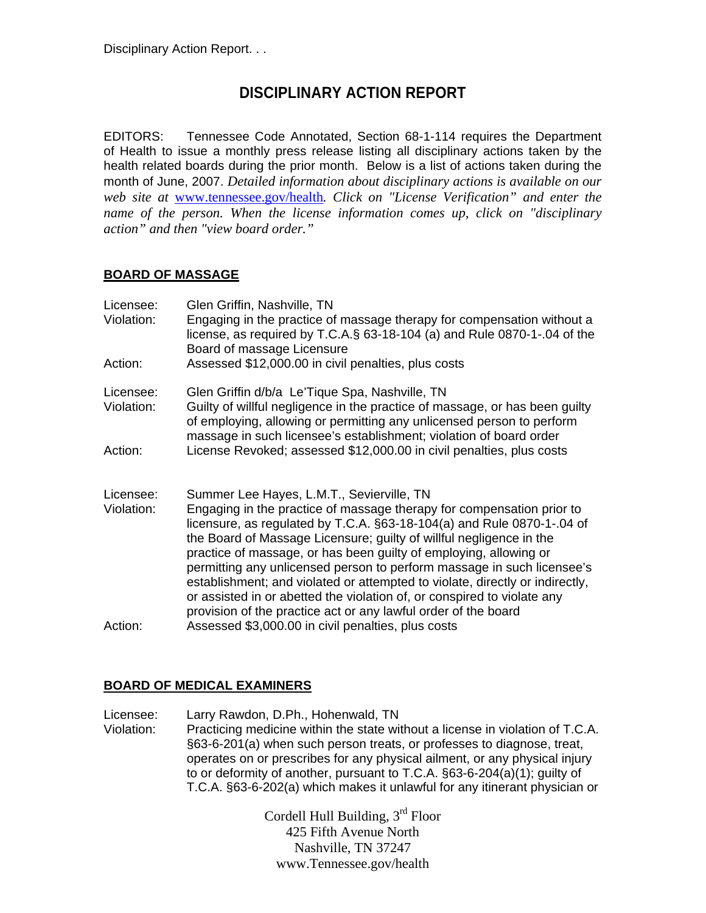# **DISCIPLINARY ACTION REPORT**

EDITORS: Tennessee Code Annotated, Section 68-1-114 requires the Department of Health to issue a monthly press release listing all disciplinary actions taken by the health related boards during the prior month. Below is a list of actions taken during the month of June, 2007. *Detailed information about disciplinary actions is available on our web site at* www.tennessee.gov/health*. Click on "License Verification" and enter the name of the person. When the license information comes up, click on "disciplinary action" and then "view board order."* 

## **BOARD OF MASSAGE**

| Licensee:<br>Violation: | Glen Griffin, Nashville, TN<br>Engaging in the practice of massage therapy for compensation without a<br>license, as required by T.C.A.§ 63-18-104 (a) and Rule 0870-1-.04 of the<br>Board of massage Licensure                                                                                                                                                                                                                                                                                                                                                                                                                                 |
|-------------------------|-------------------------------------------------------------------------------------------------------------------------------------------------------------------------------------------------------------------------------------------------------------------------------------------------------------------------------------------------------------------------------------------------------------------------------------------------------------------------------------------------------------------------------------------------------------------------------------------------------------------------------------------------|
| Action:                 | Assessed \$12,000.00 in civil penalties, plus costs                                                                                                                                                                                                                                                                                                                                                                                                                                                                                                                                                                                             |
| Licensee:<br>Violation: | Glen Griffin d/b/a Le'Tique Spa, Nashville, TN<br>Guilty of willful negligence in the practice of massage, or has been guilty<br>of employing, allowing or permitting any unlicensed person to perform<br>massage in such licensee's establishment; violation of board order                                                                                                                                                                                                                                                                                                                                                                    |
| Action:                 | License Revoked; assessed \$12,000.00 in civil penalties, plus costs                                                                                                                                                                                                                                                                                                                                                                                                                                                                                                                                                                            |
| Licensee:<br>Violation: | Summer Lee Hayes, L.M.T., Sevierville, TN<br>Engaging in the practice of massage therapy for compensation prior to<br>licensure, as regulated by T.C.A. §63-18-104(a) and Rule 0870-1-.04 of<br>the Board of Massage Licensure; guilty of willful negligence in the<br>practice of massage, or has been guilty of employing, allowing or<br>permitting any unlicensed person to perform massage in such licensee's<br>establishment; and violated or attempted to violate, directly or indirectly,<br>or assisted in or abetted the violation of, or conspired to violate any<br>provision of the practice act or any lawful order of the board |
| Action:                 | Assessed \$3,000.00 in civil penalties, plus costs                                                                                                                                                                                                                                                                                                                                                                                                                                                                                                                                                                                              |

### **BOARD OF MEDICAL EXAMINERS**

Licensee: Larry Rawdon, D.Ph., Hohenwald, TN Violation: Practicing medicine within the state without a license in violation of T.C.A. §63-6-201(a) when such person treats, or professes to diagnose, treat, operates on or prescribes for any physical ailment, or any physical injury to or deformity of another, pursuant to T.C.A. §63-6-204(a)(1); guilty of T.C.A. §63-6-202(a) which makes it unlawful for any itinerant physician or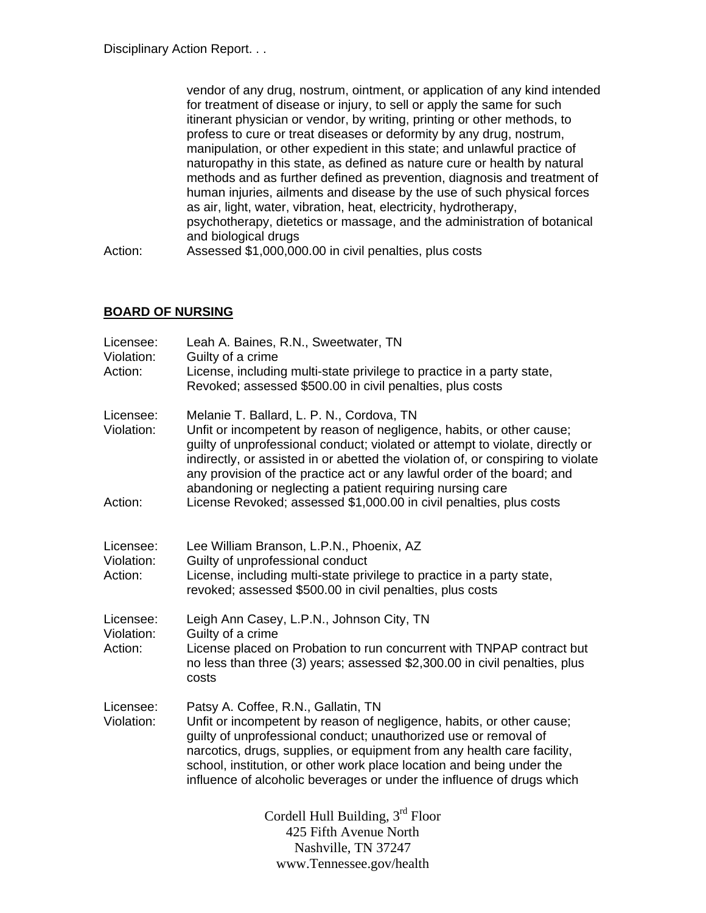vendor of any drug, nostrum, ointment, or application of any kind intended for treatment of disease or injury, to sell or apply the same for such itinerant physician or vendor, by writing, printing or other methods, to profess to cure or treat diseases or deformity by any drug, nostrum, manipulation, or other expedient in this state; and unlawful practice of naturopathy in this state, as defined as nature cure or health by natural methods and as further defined as prevention, diagnosis and treatment of human injuries, ailments and disease by the use of such physical forces as air, light, water, vibration, heat, electricity, hydrotherapy, psychotherapy, dietetics or massage, and the administration of botanical and biological drugs Action: Assessed \$1,000,000.00 in civil penalties, plus costs

## **BOARD OF NURSING**

| Licensee:<br>Violation:<br>Action: | Leah A. Baines, R.N., Sweetwater, TN<br>Guilty of a crime<br>License, including multi-state privilege to practice in a party state,<br>Revoked; assessed \$500.00 in civil penalties, plus costs                                                                                                                                                                                                                                |
|------------------------------------|---------------------------------------------------------------------------------------------------------------------------------------------------------------------------------------------------------------------------------------------------------------------------------------------------------------------------------------------------------------------------------------------------------------------------------|
| Licensee:<br>Violation:            | Melanie T. Ballard, L. P. N., Cordova, TN<br>Unfit or incompetent by reason of negligence, habits, or other cause;<br>guilty of unprofessional conduct; violated or attempt to violate, directly or<br>indirectly, or assisted in or abetted the violation of, or conspiring to violate<br>any provision of the practice act or any lawful order of the board; and<br>abandoning or neglecting a patient requiring nursing care |
| Action:                            | License Revoked; assessed \$1,000.00 in civil penalties, plus costs                                                                                                                                                                                                                                                                                                                                                             |
| Licensee:<br>Violation:<br>Action: | Lee William Branson, L.P.N., Phoenix, AZ<br>Guilty of unprofessional conduct<br>License, including multi-state privilege to practice in a party state,<br>revoked; assessed \$500.00 in civil penalties, plus costs                                                                                                                                                                                                             |
| Licensee:<br>Violation:<br>Action: | Leigh Ann Casey, L.P.N., Johnson City, TN<br>Guilty of a crime<br>License placed on Probation to run concurrent with TNPAP contract but<br>no less than three (3) years; assessed \$2,300.00 in civil penalties, plus<br>costs                                                                                                                                                                                                  |
| Licensee:<br>Violation:            | Patsy A. Coffee, R.N., Gallatin, TN<br>Unfit or incompetent by reason of negligence, habits, or other cause;<br>guilty of unprofessional conduct; unauthorized use or removal of<br>narcotics, drugs, supplies, or equipment from any health care facility,<br>school, institution, or other work place location and being under the<br>influence of alcoholic beverages or under the influence of drugs which                  |
|                                    | Cordell Hull Building, $3rd$ Floor<br>425 Fifth Avenue North<br>Nashville, TN 37247                                                                                                                                                                                                                                                                                                                                             |

www.Tennessee.gov/health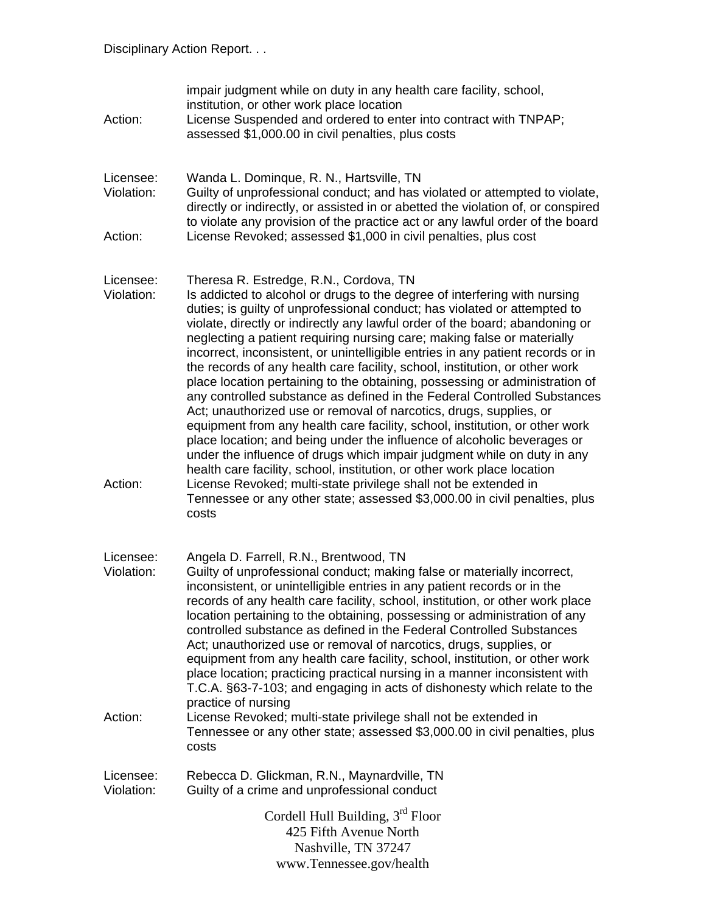| Action:                 | impair judgment while on duty in any health care facility, school,<br>institution, or other work place location<br>License Suspended and ordered to enter into contract with TNPAP;<br>assessed \$1,000.00 in civil penalties, plus costs                                                                                                                                                                                                                                                                                                                                                                                                                                                                                                                                                                                                                                                                                                                                                                                                                                      |
|-------------------------|--------------------------------------------------------------------------------------------------------------------------------------------------------------------------------------------------------------------------------------------------------------------------------------------------------------------------------------------------------------------------------------------------------------------------------------------------------------------------------------------------------------------------------------------------------------------------------------------------------------------------------------------------------------------------------------------------------------------------------------------------------------------------------------------------------------------------------------------------------------------------------------------------------------------------------------------------------------------------------------------------------------------------------------------------------------------------------|
| Licensee:<br>Violation: | Wanda L. Dominque, R. N., Hartsville, TN<br>Guilty of unprofessional conduct; and has violated or attempted to violate,<br>directly or indirectly, or assisted in or abetted the violation of, or conspired<br>to violate any provision of the practice act or any lawful order of the board                                                                                                                                                                                                                                                                                                                                                                                                                                                                                                                                                                                                                                                                                                                                                                                   |
| Action:                 | License Revoked; assessed \$1,000 in civil penalties, plus cost                                                                                                                                                                                                                                                                                                                                                                                                                                                                                                                                                                                                                                                                                                                                                                                                                                                                                                                                                                                                                |
| Licensee:<br>Violation: | Theresa R. Estredge, R.N., Cordova, TN<br>Is addicted to alcohol or drugs to the degree of interfering with nursing<br>duties; is guilty of unprofessional conduct; has violated or attempted to<br>violate, directly or indirectly any lawful order of the board; abandoning or<br>neglecting a patient requiring nursing care; making false or materially<br>incorrect, inconsistent, or unintelligible entries in any patient records or in<br>the records of any health care facility, school, institution, or other work<br>place location pertaining to the obtaining, possessing or administration of<br>any controlled substance as defined in the Federal Controlled Substances<br>Act; unauthorized use or removal of narcotics, drugs, supplies, or<br>equipment from any health care facility, school, institution, or other work<br>place location; and being under the influence of alcoholic beverages or<br>under the influence of drugs which impair judgment while on duty in any<br>health care facility, school, institution, or other work place location |
| Action:                 | License Revoked; multi-state privilege shall not be extended in<br>Tennessee or any other state; assessed \$3,000.00 in civil penalties, plus<br>costs                                                                                                                                                                                                                                                                                                                                                                                                                                                                                                                                                                                                                                                                                                                                                                                                                                                                                                                         |
| Licensee:<br>Violation: | Angela D. Farrell, R.N., Brentwood, TN<br>Guilty of unprofessional conduct; making false or materially incorrect,<br>inconsistent, or unintelligible entries in any patient records or in the<br>records of any health care facility, school, institution, or other work place<br>location pertaining to the obtaining, possessing or administration of any<br>controlled substance as defined in the Federal Controlled Substances<br>Act; unauthorized use or removal of narcotics, drugs, supplies, or<br>equipment from any health care facility, school, institution, or other work<br>place location; practicing practical nursing in a manner inconsistent with<br>T.C.A. §63-7-103; and engaging in acts of dishonesty which relate to the<br>practice of nursing                                                                                                                                                                                                                                                                                                      |
| Action:                 | License Revoked; multi-state privilege shall not be extended in<br>Tennessee or any other state; assessed \$3,000.00 in civil penalties, plus<br>costs                                                                                                                                                                                                                                                                                                                                                                                                                                                                                                                                                                                                                                                                                                                                                                                                                                                                                                                         |
| Licensee:<br>Violation: | Rebecca D. Glickman, R.N., Maynardville, TN<br>Guilty of a crime and unprofessional conduct                                                                                                                                                                                                                                                                                                                                                                                                                                                                                                                                                                                                                                                                                                                                                                                                                                                                                                                                                                                    |
|                         | Cordell Hull Building, 3 <sup>rd</sup> Floor<br>425 Fifth Avenue North<br>Nashville, TN 37247<br>www.Tennessee.gov/health                                                                                                                                                                                                                                                                                                                                                                                                                                                                                                                                                                                                                                                                                                                                                                                                                                                                                                                                                      |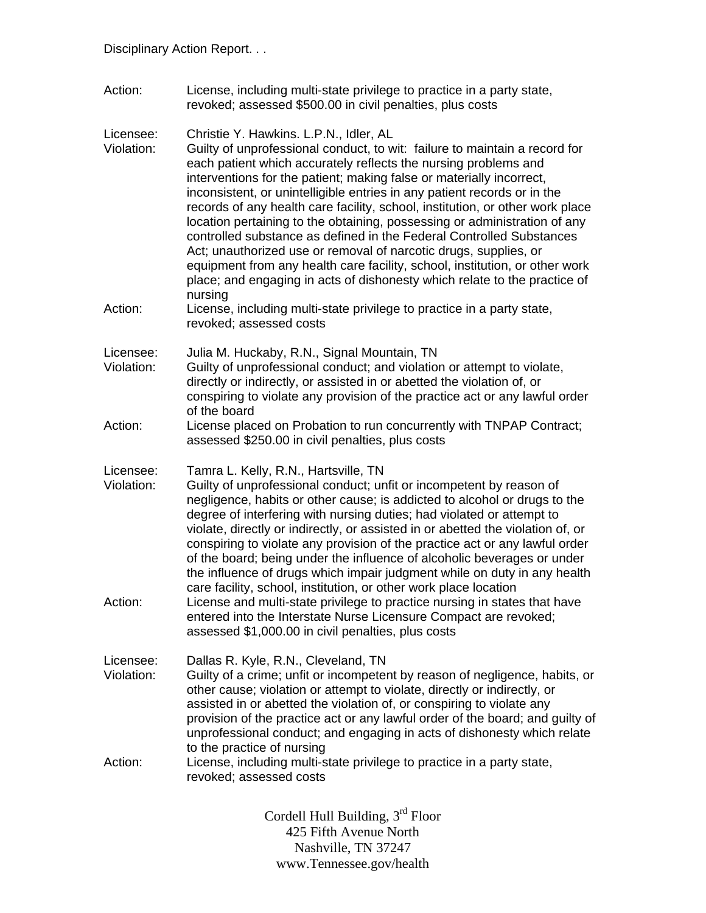Action: License, including multi-state privilege to practice in a party state, revoked; assessed \$500.00 in civil penalties, plus costs

Licensee: Christie Y. Hawkins. L.P.N., Idler, AL

- Violation: Guilty of unprofessional conduct, to wit: failure to maintain a record for each patient which accurately reflects the nursing problems and interventions for the patient; making false or materially incorrect, inconsistent, or unintelligible entries in any patient records or in the records of any health care facility, school, institution, or other work place location pertaining to the obtaining, possessing or administration of any controlled substance as defined in the Federal Controlled Substances Act; unauthorized use or removal of narcotic drugs, supplies, or equipment from any health care facility, school, institution, or other work place; and engaging in acts of dishonesty which relate to the practice of nursing
- Action: License, including multi-state privilege to practice in a party state, revoked; assessed costs

Licensee: Julia M. Huckaby, R.N., Signal Mountain, TN

- Violation: Guilty of unprofessional conduct; and violation or attempt to violate, directly or indirectly, or assisted in or abetted the violation of, or conspiring to violate any provision of the practice act or any lawful order of the board
- Action: License placed on Probation to run concurrently with TNPAP Contract; assessed \$250.00 in civil penalties, plus costs
- Licensee: Tamra L. Kelly, R.N., Hartsville, TN

Violation: Guilty of unprofessional conduct; unfit or incompetent by reason of negligence, habits or other cause; is addicted to alcohol or drugs to the degree of interfering with nursing duties; had violated or attempt to violate, directly or indirectly, or assisted in or abetted the violation of, or conspiring to violate any provision of the practice act or any lawful order of the board; being under the influence of alcoholic beverages or under the influence of drugs which impair judgment while on duty in any health care facility, school, institution, or other work place location Action: License and multi-state privilege to practice nursing in states that have entered into the Interstate Nurse Licensure Compact are revoked; assessed \$1,000.00 in civil penalties, plus costs

- Licensee: Dallas R. Kyle, R.N., Cleveland, TN Violation: Guilty of a crime; unfit or incompetent by reason of negligence, habits, or other cause; violation or attempt to violate, directly or indirectly, or assisted in or abetted the violation of, or conspiring to violate any provision of the practice act or any lawful order of the board; and guilty of unprofessional conduct; and engaging in acts of dishonesty which relate to the practice of nursing Action: License, including multi-state privilege to practice in a party state,
- revoked; assessed costs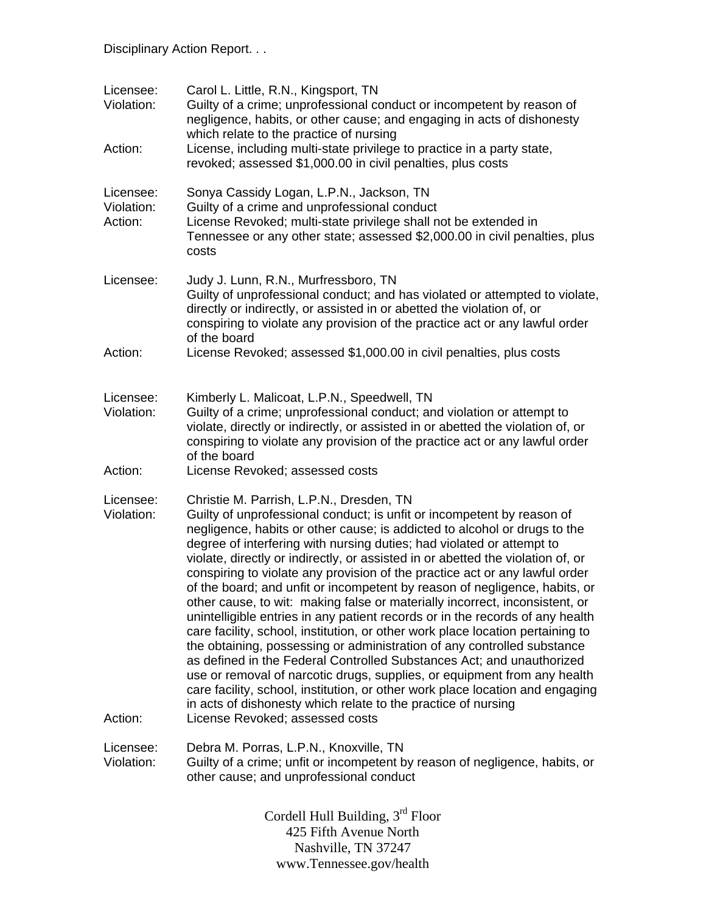| Licensee:<br>Violation:<br>Action: | Carol L. Little, R.N., Kingsport, TN<br>Guilty of a crime; unprofessional conduct or incompetent by reason of<br>negligence, habits, or other cause; and engaging in acts of dishonesty<br>which relate to the practice of nursing<br>License, including multi-state privilege to practice in a party state,<br>revoked; assessed \$1,000.00 in civil penalties, plus costs                                                                                                                                                                                                                                                                                                                                                                                                                                                                                                                                                                                                                                                                                                                                                                                                                     |
|------------------------------------|-------------------------------------------------------------------------------------------------------------------------------------------------------------------------------------------------------------------------------------------------------------------------------------------------------------------------------------------------------------------------------------------------------------------------------------------------------------------------------------------------------------------------------------------------------------------------------------------------------------------------------------------------------------------------------------------------------------------------------------------------------------------------------------------------------------------------------------------------------------------------------------------------------------------------------------------------------------------------------------------------------------------------------------------------------------------------------------------------------------------------------------------------------------------------------------------------|
| Licensee:<br>Violation:<br>Action: | Sonya Cassidy Logan, L.P.N., Jackson, TN<br>Guilty of a crime and unprofessional conduct<br>License Revoked; multi-state privilege shall not be extended in<br>Tennessee or any other state; assessed \$2,000.00 in civil penalties, plus<br>costs                                                                                                                                                                                                                                                                                                                                                                                                                                                                                                                                                                                                                                                                                                                                                                                                                                                                                                                                              |
| Licensee:<br>Action:               | Judy J. Lunn, R.N., Murfressboro, TN<br>Guilty of unprofessional conduct; and has violated or attempted to violate,<br>directly or indirectly, or assisted in or abetted the violation of, or<br>conspiring to violate any provision of the practice act or any lawful order<br>of the board<br>License Revoked; assessed \$1,000.00 in civil penalties, plus costs                                                                                                                                                                                                                                                                                                                                                                                                                                                                                                                                                                                                                                                                                                                                                                                                                             |
| Licensee:<br>Violation:<br>Action: | Kimberly L. Malicoat, L.P.N., Speedwell, TN<br>Guilty of a crime; unprofessional conduct; and violation or attempt to<br>violate, directly or indirectly, or assisted in or abetted the violation of, or<br>conspiring to violate any provision of the practice act or any lawful order<br>of the board<br>License Revoked; assessed costs                                                                                                                                                                                                                                                                                                                                                                                                                                                                                                                                                                                                                                                                                                                                                                                                                                                      |
| Licensee:<br>Violation:<br>Action: | Christie M. Parrish, L.P.N., Dresden, TN<br>Guilty of unprofessional conduct; is unfit or incompetent by reason of<br>negligence, habits or other cause; is addicted to alcohol or drugs to the<br>degree of interfering with nursing duties; had violated or attempt to<br>violate, directly or indirectly, or assisted in or abetted the violation of, or<br>conspiring to violate any provision of the practice act or any lawful order<br>of the board; and unfit or incompetent by reason of negligence, habits, or<br>other cause, to wit: making false or materially incorrect, inconsistent, or<br>unintelligible entries in any patient records or in the records of any health<br>care facility, school, institution, or other work place location pertaining to<br>the obtaining, possessing or administration of any controlled substance<br>as defined in the Federal Controlled Substances Act; and unauthorized<br>use or removal of narcotic drugs, supplies, or equipment from any health<br>care facility, school, institution, or other work place location and engaging<br>in acts of dishonesty which relate to the practice of nursing<br>License Revoked; assessed costs |
| Licensee:<br>Violation:            | Debra M. Porras, L.P.N., Knoxville, TN<br>Guilty of a crime; unfit or incompetent by reason of negligence, habits, or<br>other cause; and unprofessional conduct                                                                                                                                                                                                                                                                                                                                                                                                                                                                                                                                                                                                                                                                                                                                                                                                                                                                                                                                                                                                                                |
|                                    | Cordell Hull Building, $3rd$ Floor<br>$425$ Eifth Avonue North                                                                                                                                                                                                                                                                                                                                                                                                                                                                                                                                                                                                                                                                                                                                                                                                                                                                                                                                                                                                                                                                                                                                  |

425 Fifth Avenue North Nashville, TN 37247 www.Tennessee.gov/health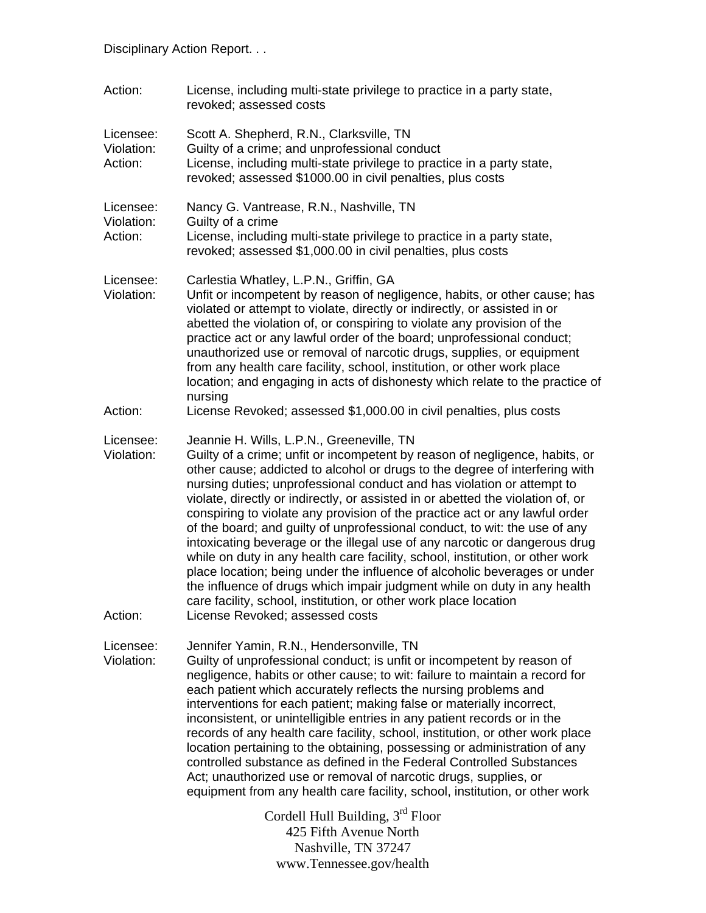| Action:                            | License, including multi-state privilege to practice in a party state,<br>revoked; assessed costs                                                                                                                                                                                                                                                                                                                                                                                                                                                                                                                                                                                                                                                                                                                                                                                                                                                                |
|------------------------------------|------------------------------------------------------------------------------------------------------------------------------------------------------------------------------------------------------------------------------------------------------------------------------------------------------------------------------------------------------------------------------------------------------------------------------------------------------------------------------------------------------------------------------------------------------------------------------------------------------------------------------------------------------------------------------------------------------------------------------------------------------------------------------------------------------------------------------------------------------------------------------------------------------------------------------------------------------------------|
| Licensee:<br>Violation:<br>Action: | Scott A. Shepherd, R.N., Clarksville, TN<br>Guilty of a crime; and unprofessional conduct<br>License, including multi-state privilege to practice in a party state,<br>revoked; assessed \$1000.00 in civil penalties, plus costs                                                                                                                                                                                                                                                                                                                                                                                                                                                                                                                                                                                                                                                                                                                                |
| Licensee:<br>Violation:<br>Action: | Nancy G. Vantrease, R.N., Nashville, TN<br>Guilty of a crime<br>License, including multi-state privilege to practice in a party state,<br>revoked; assessed \$1,000.00 in civil penalties, plus costs                                                                                                                                                                                                                                                                                                                                                                                                                                                                                                                                                                                                                                                                                                                                                            |
| Licensee:<br>Violation:            | Carlestia Whatley, L.P.N., Griffin, GA<br>Unfit or incompetent by reason of negligence, habits, or other cause; has<br>violated or attempt to violate, directly or indirectly, or assisted in or<br>abetted the violation of, or conspiring to violate any provision of the<br>practice act or any lawful order of the board; unprofessional conduct;<br>unauthorized use or removal of narcotic drugs, supplies, or equipment<br>from any health care facility, school, institution, or other work place<br>location; and engaging in acts of dishonesty which relate to the practice of<br>nursing                                                                                                                                                                                                                                                                                                                                                             |
| Action:                            | License Revoked; assessed \$1,000.00 in civil penalties, plus costs                                                                                                                                                                                                                                                                                                                                                                                                                                                                                                                                                                                                                                                                                                                                                                                                                                                                                              |
| Licensee:<br>Violation:<br>Action: | Jeannie H. Wills, L.P.N., Greeneville, TN<br>Guilty of a crime; unfit or incompetent by reason of negligence, habits, or<br>other cause; addicted to alcohol or drugs to the degree of interfering with<br>nursing duties; unprofessional conduct and has violation or attempt to<br>violate, directly or indirectly, or assisted in or abetted the violation of, or<br>conspiring to violate any provision of the practice act or any lawful order<br>of the board; and guilty of unprofessional conduct, to wit: the use of any<br>intoxicating beverage or the illegal use of any narcotic or dangerous drug<br>while on duty in any health care facility, school, institution, or other work<br>place location; being under the influence of alcoholic beverages or under<br>the influence of drugs which impair judgment while on duty in any health<br>care facility, school, institution, or other work place location<br>License Revoked; assessed costs |
| Licensee:                          | Jennifer Yamin, R.N., Hendersonville, TN                                                                                                                                                                                                                                                                                                                                                                                                                                                                                                                                                                                                                                                                                                                                                                                                                                                                                                                         |
| Violation:                         | Guilty of unprofessional conduct; is unfit or incompetent by reason of<br>negligence, habits or other cause; to wit: failure to maintain a record for<br>each patient which accurately reflects the nursing problems and<br>interventions for each patient; making false or materially incorrect,<br>inconsistent, or unintelligible entries in any patient records or in the<br>records of any health care facility, school, institution, or other work place<br>location pertaining to the obtaining, possessing or administration of any<br>controlled substance as defined in the Federal Controlled Substances<br>Act; unauthorized use or removal of narcotic drugs, supplies, or<br>equipment from any health care facility, school, institution, or other work                                                                                                                                                                                           |
|                                    | Cordell Hull Building, $3rd$ Floor<br>425 Fifth Avenue North                                                                                                                                                                                                                                                                                                                                                                                                                                                                                                                                                                                                                                                                                                                                                                                                                                                                                                     |

425 Fifth Avenue North Nashville, TN 37247 www.Tennessee.gov/health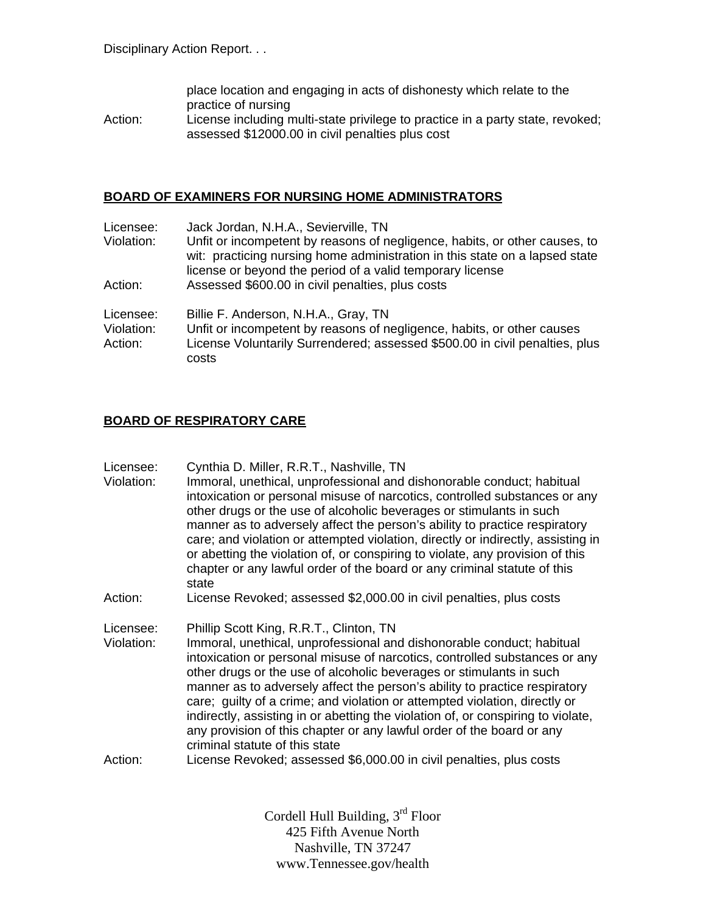|         | place location and engaging in acts of dishonesty which relate to the          |
|---------|--------------------------------------------------------------------------------|
|         | practice of nursing                                                            |
| Action: | License including multi-state privilege to practice in a party state, revoked; |
|         | assessed \$12000.00 in civil penalties plus cost                               |

#### **BOARD OF EXAMINERS FOR NURSING HOME ADMINISTRATORS**

| Licensee:  | Jack Jordan, N.H.A., Sevierville, TN                                                                                                                                                                                   |
|------------|------------------------------------------------------------------------------------------------------------------------------------------------------------------------------------------------------------------------|
| Violation: | Unfit or incompetent by reasons of negligence, habits, or other causes, to<br>wit: practicing nursing home administration in this state on a lapsed state<br>license or beyond the period of a valid temporary license |
| Action:    | Assessed \$600.00 in civil penalties, plus costs                                                                                                                                                                       |
| Licensee:  | Billie F. Anderson, N.H.A., Gray, TN                                                                                                                                                                                   |
| Violation: | Unfit or incompetent by reasons of negligence, habits, or other causes                                                                                                                                                 |
| Action:    | License Voluntarily Surrendered; assessed \$500.00 in civil penalties, plus<br>costs                                                                                                                                   |

#### **BOARD OF RESPIRATORY CARE**

| Licensee: | Cynthia D. Miller, R.R.T., Nashville, TN |  |
|-----------|------------------------------------------|--|
|-----------|------------------------------------------|--|

Violation: Immoral, unethical, unprofessional and dishonorable conduct; habitual intoxication or personal misuse of narcotics, controlled substances or any other drugs or the use of alcoholic beverages or stimulants in such manner as to adversely affect the person's ability to practice respiratory care; and violation or attempted violation, directly or indirectly, assisting in or abetting the violation of, or conspiring to violate, any provision of this chapter or any lawful order of the board or any criminal statute of this state

Action: License Revoked; assessed \$2,000.00 in civil penalties, plus costs

Licensee: Phillip Scott King, R.R.T., Clinton, TN

Violation: Immoral, unethical, unprofessional and dishonorable conduct; habitual intoxication or personal misuse of narcotics, controlled substances or any other drugs or the use of alcoholic beverages or stimulants in such manner as to adversely affect the person's ability to practice respiratory care; guilty of a crime; and violation or attempted violation, directly or indirectly, assisting in or abetting the violation of, or conspiring to violate, any provision of this chapter or any lawful order of the board or any criminal statute of this state

Action: License Revoked; assessed \$6,000.00 in civil penalties, plus costs